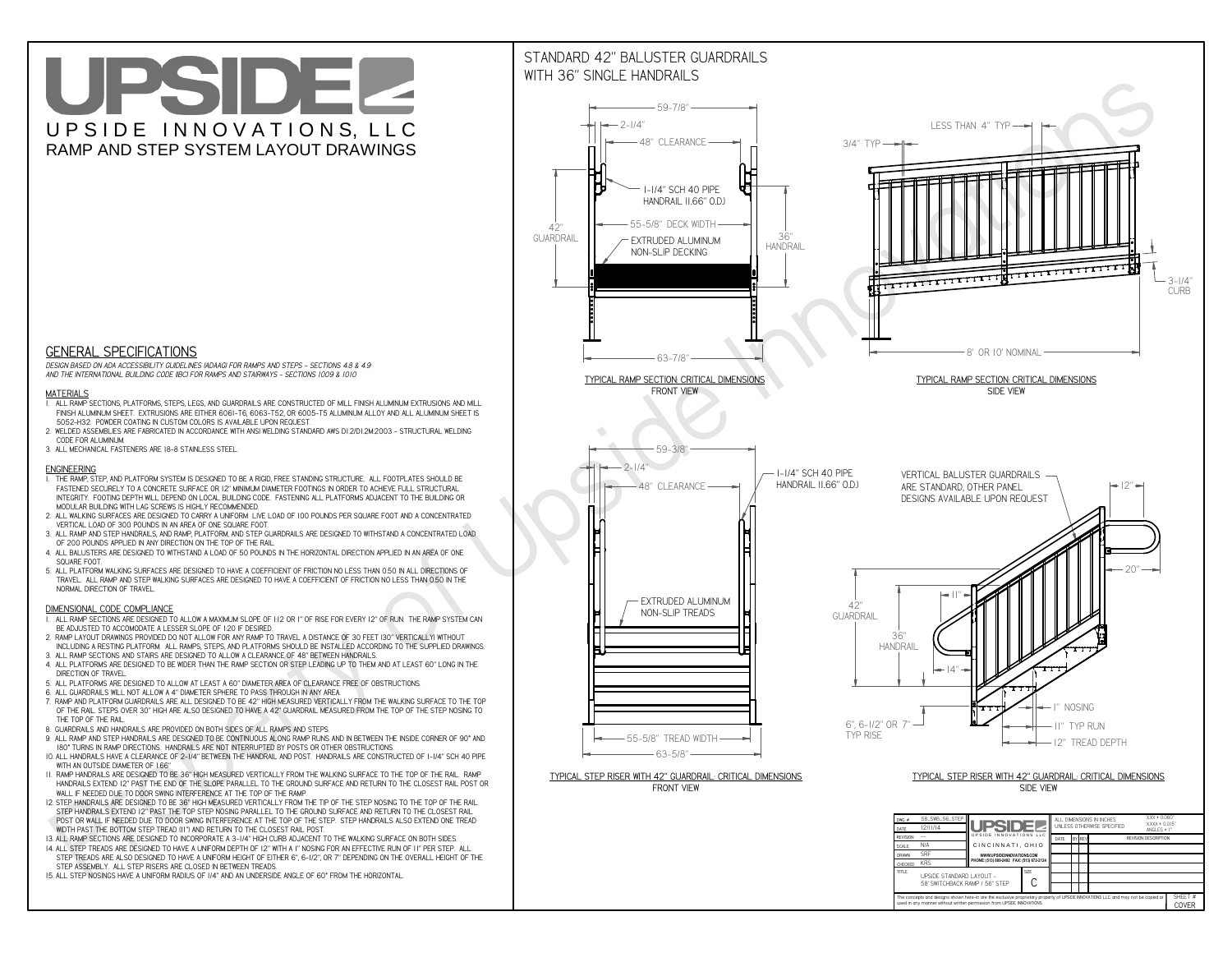**CThe concepts and designs shown here-in are the exclusive proprietary property of UPSIDE INNOVATIONS LLC. and may not be copied or**

**H** 

**used in any manner without written permission from UPSIDE INNOVATIONS.**

# UPSIDEL UPSIDE INNOVATIONS, LLC RAMP AND STEP SYSTEM LAYOUT DRAWINGS

SHEET #**COVER**

58' SWITCHBACK RAMP / 56" STEP



# WITH 36" SINGLE HANDRAILS



 *DESIGN BASED ON ADA ACCESSIBILITY GUIDELINES (ADAAG) FOR RAMPS AND STEPS - SECTIONS 4.8 & 4.9AND THE INTERNATIONAL BUILDING CODE (IBC) FOR RAMPS AND STAIRWAYS - SECTIONS 1009 & 1010*

### **MATERIALS**

- **1. ALL RAMP SECTIONS, PLATFORMS, STEPS, LEGS, AND GUARDRAILS ARE CONSTRUCTED OF MILL FINISH ALUMINUM EXTRUSIONS AND MILL FINISH ALUMINUM SHEET. EXTRUSIONS ARE EITHER 6061-T6, 6063-T52, OR 6005-T5 ALUMINUM ALLOY AND ALL ALUMINUM SHEET IS 5052-H32. POWDER COATING IN CUSTOM COLORS IS AVAILABLE UPON REQUEST.**
- **2. WELDED ASSEMBLIES ARE FABRICATED IN ACCORDANCE WITH ANSI WELDING STANDARD AWS D1.2/D1.2M:2003 STRUCTURAL WELDING CODE FOR ALUMINUM.**
- **3. ALL MECHANICAL FASTENERS ARE 18-8 STAINLESS STEEL.**

#### **ENGINEERING**

- **1. THE RAMP, STEP, AND PLATFORM SYSTEM IS DESIGNED TO BE A RIGID, FREE STANDING STRUCTURE. ALL FOOTPLATES SHOULD BE FASTENED SECURELY TO A CONCRETE SURFACE OR 12" MINIMUM DIAMETER FOOTINGS IN ORDER TO ACHIEVE FULL STRUCTURAL INTEGRITY. FOOTING DEPTH WILL DEPEND ON LOCAL BUILDING CODE. FASTENING ALL PLATFORMS ADJACENT TO THE BUILDING OR MODULAR BUILDING WITH LAG SCREWS IS HIGHLY RECOMMENDED.**
- **2. ALL WALKING SURFACES ARE DESIGNED TO CARRY A UNIFORM LIVE LOAD OF 100 POUNDS PER SQUARE FOOT AND A CONCENTRATED VERTICAL LOAD OF 300 POUNDS IN AN AREA OF ONE SQUARE FOOT.**
- **3. ALL RAMP AND STEP HANDRAILS, AND RAMP, PLATFORM, AND STEP GUARDRAILS ARE DESIGNED TO WITHSTAND A CONCENTRATED LOAD OF 200 POUNDS APPLIED IN ANY DIRECTION ON THE TOP OF THE RAIL.**
- **4. ALL BALUSTERS ARE DESIGNED TO WITHSTAND A LOAD OF 50 POUNDS IN THE HORIZONTAL DIRECTION APPLIED IN AN AREA OF ONE SQUARE FOOT.**
- **5. ALL PLATFORM WALKING SURFACES ARE DESIGNED TO HAVE A COEFFICIENT OF FRICTION NO LESS THAN 0.50 IN ALL DIRECTIONS OF TRAVEL. ALL RAMP AND STEP WALKING SURFACES ARE DESIGNED TO HAVE A COEFFICIENT OF FRICTION NO LESS THAN 0.50 IN THE NORMAL DIRECTION OF TRAVEL.**

### **DIMENSIONAL CODE COMPLIANCE**

- **1. ALL RAMP SECTIONS ARE DESIGNED TO ALLOW A MAXIMUM SLOPE OF 1:12 OR 1" OF RISE FOR EVERY 12" OF RUN. THE RAMP SYSTEM CAN BE ADJUSTED TO ACCOMODATE A LESSER SLOPE OF 1:20 IF DESIRED.**
- **2. RAMP LAYOUT DRAWINGS PROVIDED DO NOT ALLOW FOR ANY RAMP TO TRAVEL A DISTANCE OF 30 FEET (30" VERTICALLY) WITHOUT INCLUDING A RESTING PLATFORM. ALL RAMPS, STEPS, AND PLATFORMS SHOULD BE INSTALLED ACCORDING TO THE SUPPLIED DRAWINGS.**
- **3. ALL RAMP SECTIONS AND STAIRS ARE DESIGNED TO ALLOW A CLEARANCE OF 48" BETWEEN HANDRAILS.**
- **4. ALL PLATFORMS ARE DESIGNED TO BE WIDER THAN THE RAMP SECTION OR STEP LEADING UP TO THEM AND AT LEAST 60" LONG IN THE DIRECTION OF TRAVEL.**
- **5. ALL PLATFORMS ARE DESIGNED TO ALLOW AT LEAST A 60" DIAMETER AREA OF CLEARANCE FREE OF OBSTRUCTIONS.**
- **6. ALL GUARDRAILS WILL NOT ALLOW A 4" DIAMETER SPHERE TO PASS THROUGH IN ANY AREA.**
- **7. RAMP AND PLATFORM GUARDRAILS ARE ALL DESIGNED TO BE 42" HIGH MEASURED VERTICALLY FROM THE WALKING SURFACE TO THE TOP OF THE RAIL. STEPS OVER 30" HIGH ARE ALSO DESIGNED TO HAVE A 42" GUARDRAIL MEASURED FROM THE TOP OF THE STEP NOSING TO THE TOP OF THE RAIL.**
- **8. GUARDRAILS AND HANDRAILS ARE PROVIDED ON BOTH SIDES OF ALL RAMPS AND STEPS.**
- **9. ALL RAMP AND STEP HANDRAILS ARE DESIGNED TO BE CONTINUOUS ALONG RAMP RUNS AND IN BETWEEN THE INSIDE CORNER OF 90° AND 180° TURNS IN RAMP DIRECTIONS. HANDRAILS ARE NOT INTERRUPTED BY POSTS OR OTHER OBSTRUCTIONS.**
- **10. ALL HANDRAILS HAVE A CLEARANCE OF 2-1/4" BETWEEN THE HANDRAIL AND POST. HANDRAILS ARE CONSTRUCTED OF 1-1/4" SCH 40 PIPE WITH AN OUTSIDE DIAMETER OF 1.66"**
- **11. RAMP HANDRAILS ARE DESIGNED TO BE 36" HIGH MEASURED VERTICALLY FROM THE WALKING SURFACE TO THE TOP OF THE RAIL. RAMP HANDRAILS EXTEND 12" PAST THE END OF THE SLOPE PARALLEL TO THE GROUND SURFACE AND RETURN TO THE CLOSEST RAIL POST OR WALL IF NEEDED DUE TO DOOR SWING INTERFERENCE AT THE TOP OF THE RAMP.**
- **12. STEP HANDRAILS ARE DESIGNED TO BE 36" HIGH MEASURED VERTICALLY FROM THE TIP OF THE STEP NOSING TO THE TOP OF THE RAIL. STEP HANDRAILS EXTEND 12" PAST THE TOP STEP NOSING PARALLEL TO THE GROUND SURFACE AND RETURN TO THE CLOSEST RAIL POST OR WALL IF NEEDED DUE TO DOOR SWING INTERFERENCE AT THE TOP OF THE STEP. STEP HANDRAILS ALSO EXTEND ONE TREAD WIDTH PAST THE BOTTOM STEP TREAD (11") AND RETURN TO THE CLOSEST RAIL POST.**
- **13. ALL RAMP SECTIONS ARE DESIGNED TO INCORPORATE A 3-1/4" HIGH CURB ADJACENT TO THE WALKING SURFACE ON BOTH SIDES.**
- **14. ALL STEP TREADS ARE DESIGNED TO HAVE A UNIFORM DEPTH OF 12" WITH A 1" NOSING FOR AN EFFECTIVE RUN OF 11" PER STEP. ALL**
- **STEP TREADS ARE ALSO DESIGNED TO HAVE A UNIFORM HEIGHT OF EITHER 6", 6-1/2", OR 7" DEPENDING ON THE OVERALL HEIGHT OF THE STEP ASSEMBLY. ALL STEP RISERS ARE CLOSED IN BETWEEN TREADS.**
- **15. ALL STEP NOSINGS HAVE A UNIFORM RADIUS OF 1/4" AND AN UNDERSIDE ANGLE OF 60° FROM THE HORIZONTAL.**